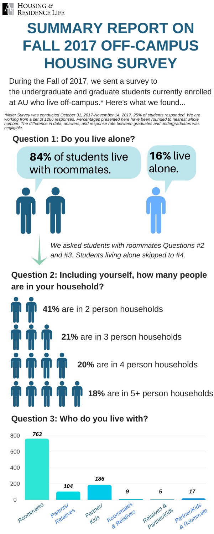

# **SUMMARY REPORT ON FALL 2017 OFF-CAMPUS HOUSING SURVEY**

During the Fall of 2017, we sent a survey to the undergraduate and graduate students currently enrolled at AU who live off-campus.\* Here's what we found...

## **Question 1: Do you live alone?**

84% of students live with roommates.

16% live alone.

**Question 2: Including yourself, how many people are in your household?**

*We asked students with roommates Questions #2 and #3. Students living alone skipped to #4.*



#### **Question 3: Who do you live with?**



*\*Note: Survey was conducted October 31, 2017-November 14, 2017. 25% of students responded. We are working from a set of 1266 responses. Percentages presented here have been rounded to nearest whole number. The difference in data, answers, and response rate between graduates and undergraduates was negligible.*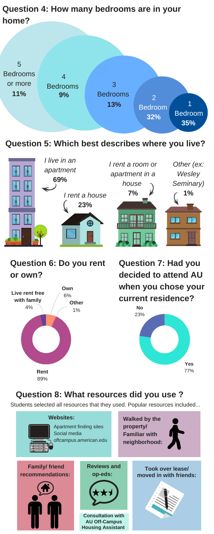#### **Question 5: Which best describes where you live?**



#### **Question 6: Do you rent or own?**





**Question 7: Had you decided to attend AU when you chose your current residence?**

> **No** 23%

#### **Question 8: What resources did you use ?**

Students selected all resources that they used. Popular resources included...



### **Question 4: How many bedrooms are in your home?**